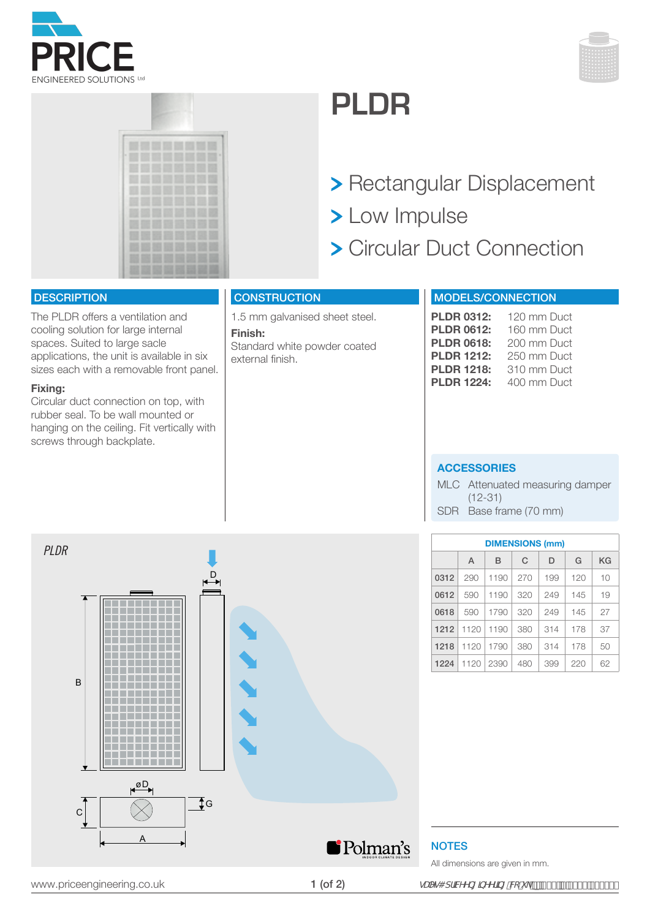





# **PLDR**

- Rectangular Displacement
- > Low Impulse
- Circular Duct Connection

### **DESCRIPTION**

The PLDR offers a ventilation and cooling solution for large internal spaces. Suited to large sacle applications, the unit is available in six sizes each with a removable front panel.

#### **Fixing:**

Circular duct connection on top, with rubber seal. To be wall mounted or hanging on the ceiling. Fit vertically with screws through backplate.

## **CONSTRUCTION**

1.5 mm galvanised sheet steel. **Finish:**  Standard white powder coated external finish.

# MODELS/CONNECTION

| <b>PLDR 0312:</b> | 120 mm Duct |
|-------------------|-------------|
| <b>PLDR 0612:</b> | 160 mm Duct |
| <b>PLDR 0618:</b> | 200 mm Duct |
| <b>PLDR 1212:</b> | 250 mm Duct |
| <b>PLDR 1218:</b> | 310 mm Duct |
| <b>PLDR 1224:</b> | 400 mm Duct |

#### **ACCESSORIES**

MLC Attenuated measuring damper (12-31) SDR Base frame (70 mm)



| <b>DIMENSIONS (mm)</b> |      |      |     |     |     |    |  |
|------------------------|------|------|-----|-----|-----|----|--|
|                        | A    | B    | C   | D   | G   | ΚG |  |
| 0312                   | 290  | 1190 | 270 | 199 | 120 | 10 |  |
| 0612                   | 590  | 1190 | 320 | 249 | 145 | 19 |  |
| 0618                   | 590  | 1790 | 320 | 249 | 145 | 27 |  |
| 1212                   | 1120 | 1190 | 380 | 314 | 178 | 37 |  |
| 1218                   | 1120 | 1790 | 380 | 314 | 178 | 50 |  |
| 1224                   | 1120 | 2390 | 480 | 399 | 220 | 62 |  |

**NOTES** 

All dimensions are given in mm.